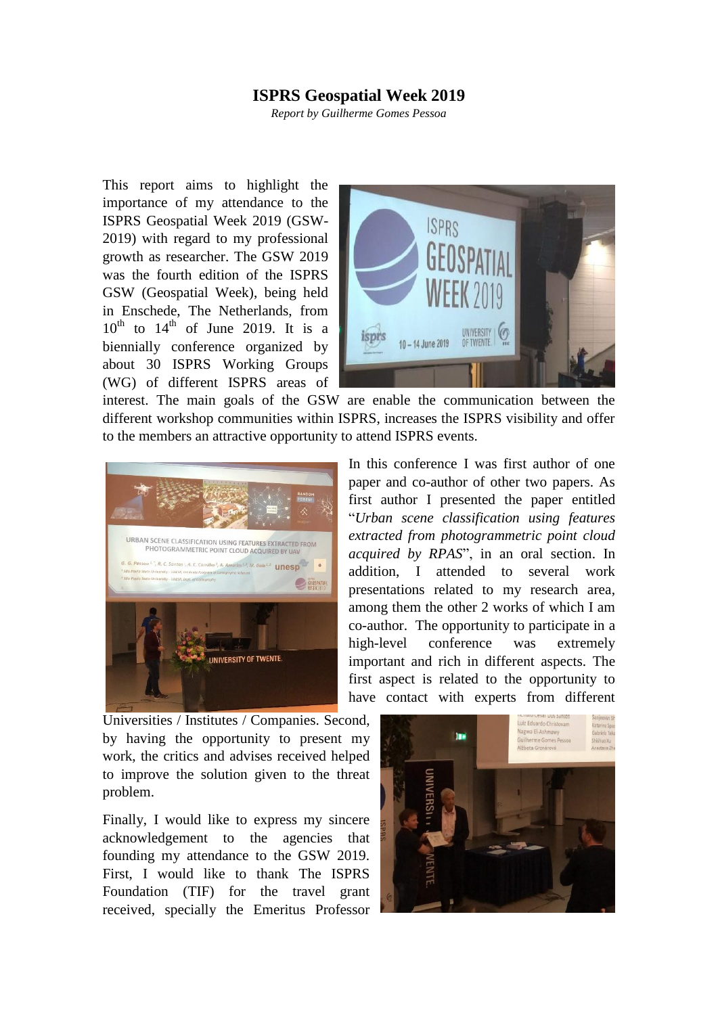## **ISPRS Geospatial Week 2019**

*Report by Guilherme Gomes Pessoa*

This report aims to highlight the importance of my attendance to the ISPRS Geospatial Week 2019 (GSW-2019) with regard to my professional growth as researcher. The GSW 2019 was the fourth edition of the ISPRS GSW (Geospatial Week), being held in Enschede, The Netherlands, from  $10^{th}$  to  $14^{th}$  of June 2019. It is a biennially conference organized by about 30 ISPRS Working Groups (WG) of different ISPRS areas of



interest. The main goals of the GSW are enable the communication between the different workshop communities within ISPRS, increases the ISPRS visibility and offer to the members an attractive opportunity to attend ISPRS events.



In this conference I was first author of one paper and co-author of other two papers. As first author I presented the paper entitled "*Urban scene classification using features extracted from photogrammetric point cloud acquired by RPAS*", in an oral section. In addition, I attended to several work presentations related to my research area, among them the other 2 works of which I am co-author. The opportunity to participate in a high-level conference was extremely important and rich in different aspects. The first aspect is related to the opportunity to have contact with experts from different

Universities / Institutes / Companies. Second, by having the opportunity to present my work, the critics and advises received helped to improve the solution given to the threat problem.

Finally, I would like to express my sincere acknowledgement to the agencies that founding my attendance to the GSW 2019. First, I would like to thank The ISPRS Foundation (TIF) for the travel grant received, specially the Emeritus Professor